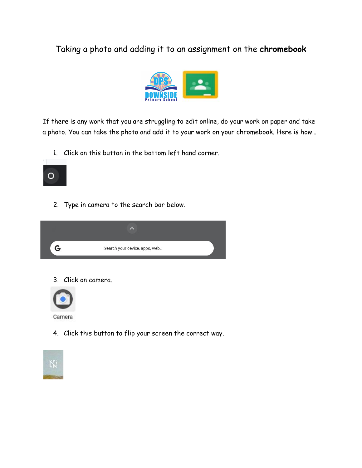## Taking a photo and adding it to an assignment on the **chromebook**



If there is any work that you are struggling to edit online, do your work on paper and take a photo. You can take the photo and add it to your work on your chromebook. Here is how…

1. Click on this button in the bottom left hand corner.



2. Type in camera to the search bar below.



3. Click on camera.



4. Click this button to flip your screen the correct way.

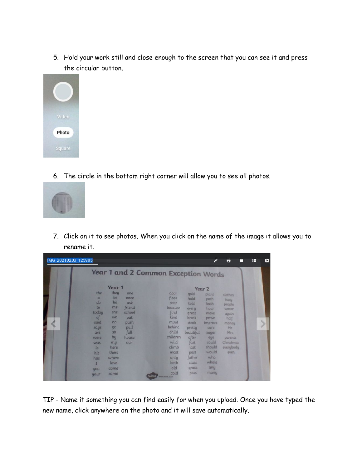5. Hold your work still and close enough to the screen that you can see it and press the circular button.



6. The circle in the bottom right corner will allow you to see all photos.



7. Click on it to see photos. When you click on the name of the image it allows you to rename it.

|                                                                                                                                           |                                                                                                                                |                                                                                       | <b>Year 1 and 2 Common Exception Words</b> |                                                                                                                                                        |                                                                                                                                                      |                                                                                                                                                               |                                                                                                                        |  |
|-------------------------------------------------------------------------------------------------------------------------------------------|--------------------------------------------------------------------------------------------------------------------------------|---------------------------------------------------------------------------------------|--------------------------------------------|--------------------------------------------------------------------------------------------------------------------------------------------------------|------------------------------------------------------------------------------------------------------------------------------------------------------|---------------------------------------------------------------------------------------------------------------------------------------------------------------|------------------------------------------------------------------------------------------------------------------------|--|
| the<br>$\alpha$<br>do<br>to<br>today<br>of<br>said<br>says<br>are<br>were<br><b>WGS</b><br>is.<br>his<br>has<br><b>HON</b><br><b>your</b> | Year 1<br>they<br>be.<br>he<br>me<br>she<br>we<br>no<br>90<br>50<br>by<br>mu<br>here<br>there<br>where<br>love<br>come<br>some | one<br>pnce<br>ask<br>friend<br>school<br>put<br>push<br>pull<br>full<br>house<br>our |                                            | door<br>floor<br>poor<br>because<br><b>find</b><br>kind<br>mind<br>behind<br>child<br>children<br>wild<br>climb<br>most<br>only<br>both<br>old<br>cold | gold<br>hold<br>told<br>every<br>great<br>break<br>steak<br>pretty<br>beautiful<br>after<br>fast<br>last<br>past<br>father<br>class<br>grass<br>pass | Year 2<br>plant<br>path<br>bath<br>hour<br>move<br>prove<br><i>umprove</i><br>sure<br>sugar<br>eye<br>could<br>should<br>would<br>who<br>whole<br>any<br>many | clothes<br>busu<br>people<br>water<br>again<br>half<br>money<br>Mr<br>Mrs<br>parents<br>Christmas<br>everybody<br>even |  |

TIP - Name it something you can find easily for when you upload. Once you have typed the new name, click anywhere on the photo and it will save automatically.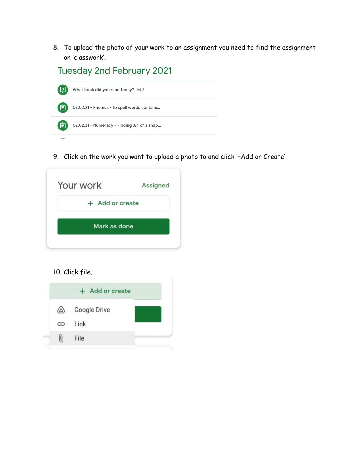8. To upload the photo of your work to an assignment you need to find the assignment on 'classwork'.

Tuesday 2nd February 2021



9. Click on the work you want to upload a photo to and click '+Add or Create'

| + Add or create |  |
|-----------------|--|
|                 |  |
| Mark as done    |  |

## 10. Click file.

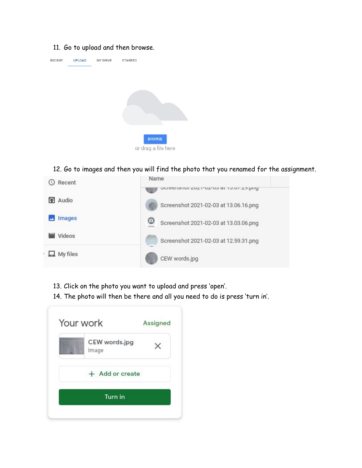## 11. Go to upload and then browse.



12. Go to images and then you will find the photo that you renamed for the assignment.



- 13. Click on the photo you want to upload and press 'open'.
- 14. The photo will then be there and all you need to do is press 'turn in'.

| Your work              | Assigned |
|------------------------|----------|
| CEW words.jpg<br>Image |          |
| + Add or create        |          |
| <b>Turn</b> in         |          |